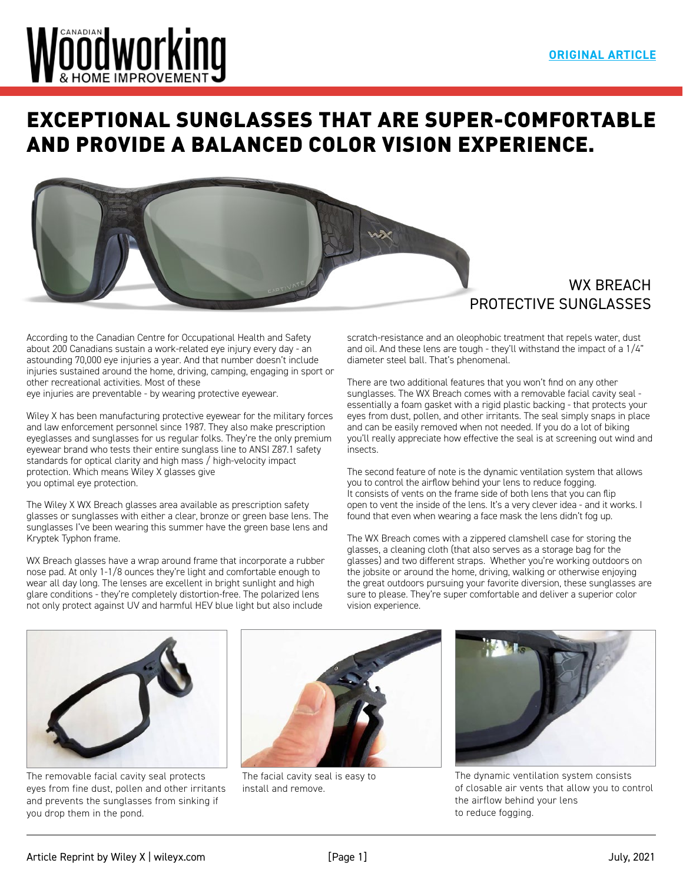# Nöödworking

# [EXCEPTIONAL SUNGLASSES THAT ARE SUPER-COMFORTABLE](https://www.canadianwoodworking.com/Wiley%20WX%20BREACH)  AND PROVIDE A BALANCED COLOR VISION EXPERIENCE.



### WX BREACH PROTECTIVE SUNGLASSES

According to the Canadian Centre for Occupational Health and Safety about 200 Canadians sustain a work-related eye injury every day - an astounding 70,000 eye injuries a year. And that number doesn't include injuries sustained around the home, driving, camping, engaging in sport or other recreational activities. Most of these eye injuries are preventable - by wearing protective eyewear.

Wiley X has been manufacturing protective eyewear for the military forces and law enforcement personnel since 1987. They also make prescription eyeglasses and sunglasses for us regular folks. They're the only premium eyewear brand who tests their entire sunglass line to ANSI Z87.1 safety standards for optical clarity and high mass / high-velocity impact protection. Which means Wiley X glasses give you optimal eye protection.

The Wiley X WX Breach glasses area available as prescription safety glasses or sunglasses with either a clear, bronze or green base lens. The sunglasses I've been wearing this summer have the green base lens and Kryptek Typhon frame.

WX Breach glasses have a wrap around frame that incorporate a rubber nose pad. At only 1-1/8 ounces they're light and comfortable enough to wear all day long. The lenses are excellent in bright sunlight and high glare conditions - they're completely distortion-free. The polarized lens not only protect against UV and harmful HEV blue light but also include

scratch-resistance and an oleophobic treatment that repels water, dust and oil. And these lens are tough - they'll withstand the impact of a 1/4" diameter steel ball. That's phenomenal.

There are two additional features that you won't find on any other sunglasses. The WX Breach comes with a removable facial cavity seal essentially a foam gasket with a rigid plastic backing - that protects your eyes from dust, pollen, and other irritants. The seal simply snaps in place and can be easily removed when not needed. If you do a lot of biking you'll really appreciate how effective the seal is at screening out wind and insects.

The second feature of note is the dynamic ventilation system that allows you to control the airflow behind your lens to reduce fogging. It consists of vents on the frame side of both lens that you can flip open to vent the inside of the lens. It's a very clever idea - and it works. I found that even when wearing a face mask the lens didn't fog up.

The WX Breach comes with a zippered clamshell case for storing the glasses, a cleaning cloth (that also serves as a storage bag for the glasses) and two different straps. Whether you're working outdoors on the jobsite or around the home, driving, walking or otherwise enjoying the great outdoors pursuing your favorite diversion, these sunglasses are sure to please. They're super comfortable and deliver a superior color vision experience.



The removable facial cavity seal protects eyes from fine dust, pollen and other irritants and prevents the sunglasses from sinking if you drop them in the pond.



The facial cavity seal is easy to install and remove.



The dynamic ventilation system consists of closable air vents that allow you to control the airflow behind your lens to reduce fogging.